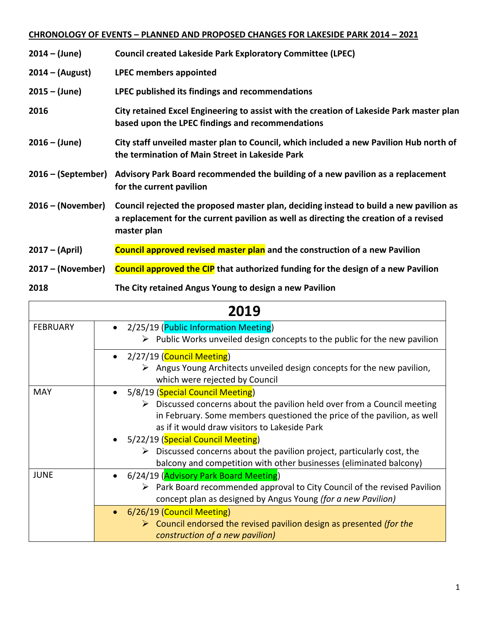## **CHRONOLOGY OF EVENTS – PLANNED AND PROPOSED CHANGES FOR LAKESIDE PARK 2014 – 2021**

| $2014 - (June)$      | <b>Council created Lakeside Park Exploratory Committee (LPEC)</b>                                                                                                                              |
|----------------------|------------------------------------------------------------------------------------------------------------------------------------------------------------------------------------------------|
| $2014 - (August)$    | <b>LPEC members appointed</b>                                                                                                                                                                  |
| $2015 - (June)$      | LPEC published its findings and recommendations                                                                                                                                                |
| 2016                 | City retained Excel Engineering to assist with the creation of Lakeside Park master plan<br>based upon the LPEC findings and recommendations                                                   |
| $2016 - (June)$      | City staff unveiled master plan to Council, which included a new Pavilion Hub north of<br>the termination of Main Street in Lakeside Park                                                      |
| $2016 - (September)$ | Advisory Park Board recommended the building of a new pavilion as a replacement<br>for the current pavilion                                                                                    |
| $2016 - (November)$  | Council rejected the proposed master plan, deciding instead to build a new pavilion as<br>a replacement for the current pavilion as well as directing the creation of a revised<br>master plan |
| $2017 - (April)$     | Council approved revised master plan and the construction of a new Pavilion                                                                                                                    |
| $2017 - (November)$  | <b>Council approved the CIP</b> that authorized funding for the design of a new Pavilion                                                                                                       |
| 2018                 | The City retained Angus Young to design a new Pavilion                                                                                                                                         |

| 2019            |                                                                                                                                                                                                                                                                                                                                                                                                                                                      |
|-----------------|------------------------------------------------------------------------------------------------------------------------------------------------------------------------------------------------------------------------------------------------------------------------------------------------------------------------------------------------------------------------------------------------------------------------------------------------------|
| <b>FEBRUARY</b> | • 2/25/19 (Public Information Meeting)<br>$\triangleright$ Public Works unveiled design concepts to the public for the new pavilion                                                                                                                                                                                                                                                                                                                  |
|                 | • 2/27/19 (Council Meeting)<br>$\triangleright$ Angus Young Architects unveiled design concepts for the new pavilion,<br>which were rejected by Council                                                                                                                                                                                                                                                                                              |
| <b>MAY</b>      | • 5/8/19 (Special Council Meeting)<br>$\triangleright$ Discussed concerns about the pavilion held over from a Council meeting<br>in February. Some members questioned the price of the pavilion, as well<br>as if it would draw visitors to Lakeside Park<br>• 5/22/19 (Special Council Meeting)<br>Discussed concerns about the pavilion project, particularly cost, the<br>➤<br>balcony and competition with other businesses (eliminated balcony) |
| <b>JUNE</b>     | 6/24/19 (Advisory Park Board Meeting)<br>$\bullet$<br>$\triangleright$ Park Board recommended approval to City Council of the revised Pavilion<br>concept plan as designed by Angus Young (for a new Pavilion)<br>• 6/26/19 (Council Meeting)                                                                                                                                                                                                        |
|                 | $\triangleright$ Council endorsed the revised pavilion design as presented (for the<br>construction of a new pavilion)                                                                                                                                                                                                                                                                                                                               |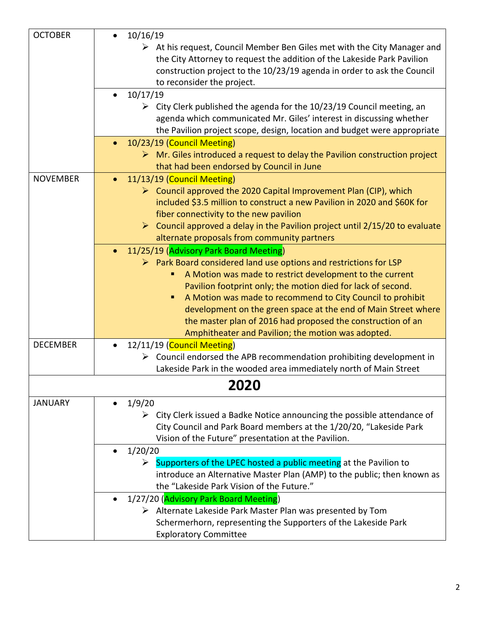| <b>OCTOBER</b>  | 10/16/19                                                                                                                                   |
|-----------------|--------------------------------------------------------------------------------------------------------------------------------------------|
|                 | $\triangleright$ At his request, Council Member Ben Giles met with the City Manager and                                                    |
|                 | the City Attorney to request the addition of the Lakeside Park Pavilion                                                                    |
|                 | construction project to the 10/23/19 agenda in order to ask the Council                                                                    |
|                 | to reconsider the project.                                                                                                                 |
|                 | 10/17/19<br>$\bullet$                                                                                                                      |
|                 | $\triangleright$ City Clerk published the agenda for the 10/23/19 Council meeting, an                                                      |
|                 | agenda which communicated Mr. Giles' interest in discussing whether                                                                        |
|                 | the Pavilion project scope, design, location and budget were appropriate                                                                   |
|                 | 10/23/19 (Council Meeting)<br>$\bullet$                                                                                                    |
|                 | $\triangleright$ Mr. Giles introduced a request to delay the Pavilion construction project                                                 |
|                 | that had been endorsed by Council in June                                                                                                  |
| <b>NOVEMBER</b> | 11/13/19 (Council Meeting)                                                                                                                 |
|                 | $\triangleright$ Council approved the 2020 Capital Improvement Plan (CIP), which                                                           |
|                 | included \$3.5 million to construct a new Pavilion in 2020 and \$60K for                                                                   |
|                 | fiber connectivity to the new pavilion                                                                                                     |
|                 | $\triangleright$ Council approved a delay in the Pavilion project until 2/15/20 to evaluate<br>alternate proposals from community partners |
|                 |                                                                                                                                            |
|                 | 11/25/19 (Advisory Park Board Meeting)<br>$\triangleright$ Park Board considered land use options and restrictions for LSP                 |
|                 | A Motion was made to restrict development to the current                                                                                   |
|                 | Pavilion footprint only; the motion died for lack of second.                                                                               |
|                 | A Motion was made to recommend to City Council to prohibit<br>п                                                                            |
|                 | development on the green space at the end of Main Street where                                                                             |
|                 | the master plan of 2016 had proposed the construction of an                                                                                |
|                 | Amphitheater and Pavilion; the motion was adopted.                                                                                         |
| <b>DECEMBER</b> | 12/11/19 (Council Meeting)<br>$\bullet$                                                                                                    |
|                 | $\triangleright$ Council endorsed the APB recommendation prohibiting development in                                                        |
|                 | Lakeside Park in the wooded area immediately north of Main Street                                                                          |
|                 | 2020                                                                                                                                       |
| <b>JANUARY</b>  | 1/9/20                                                                                                                                     |
|                 | $\triangleright$ City Clerk issued a Badke Notice announcing the possible attendance of                                                    |
|                 | City Council and Park Board members at the 1/20/20, "Lakeside Park                                                                         |
|                 | Vision of the Future" presentation at the Pavilion.                                                                                        |
|                 | 1/20/20                                                                                                                                    |
|                 | Supporters of the LPEC hosted a public meeting at the Pavilion to<br>➤                                                                     |
|                 | introduce an Alternative Master Plan (AMP) to the public; then known as                                                                    |
|                 | the "Lakeside Park Vision of the Future."                                                                                                  |
|                 | 1/27/20 (Advisory Park Board Meeting)                                                                                                      |
|                 | $\triangleright$ Alternate Lakeside Park Master Plan was presented by Tom                                                                  |
|                 | Schermerhorn, representing the Supporters of the Lakeside Park                                                                             |
|                 | <b>Exploratory Committee</b>                                                                                                               |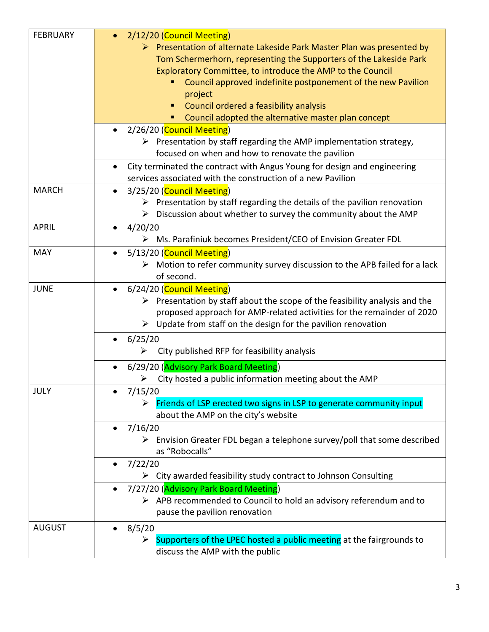| <b>FEBRUARY</b> | 2/12/20 (Council Meeting)                                                                  |
|-----------------|--------------------------------------------------------------------------------------------|
|                 | $\triangleright$ Presentation of alternate Lakeside Park Master Plan was presented by      |
|                 | Tom Schermerhorn, representing the Supporters of the Lakeside Park                         |
|                 | Exploratory Committee, to introduce the AMP to the Council                                 |
|                 | Council approved indefinite postponement of the new Pavilion                               |
|                 | project                                                                                    |
|                 | Council ordered a feasibility analysis                                                     |
|                 | Council adopted the alternative master plan concept                                        |
|                 | 2/26/20 (Council Meeting)<br>$\bullet$                                                     |
|                 | $\triangleright$ Presentation by staff regarding the AMP implementation strategy,          |
|                 | focused on when and how to renovate the pavilion                                           |
|                 | City terminated the contract with Angus Young for design and engineering                   |
|                 | services associated with the construction of a new Pavilion                                |
| <b>MARCH</b>    |                                                                                            |
|                 | 3/25/20 (Council Meeting)<br>$\bullet$                                                     |
|                 | $\triangleright$ Presentation by staff regarding the details of the pavilion renovation    |
|                 | Discussion about whether to survey the community about the AMP<br>➤                        |
| <b>APRIL</b>    | 4/20/20<br>$\bullet$                                                                       |
|                 | Ms. Parafiniuk becomes President/CEO of Envision Greater FDL<br>➤                          |
| <b>MAY</b>      | 5/13/20 (Council Meeting)<br>$\bullet$                                                     |
|                 | $\triangleright$ Motion to refer community survey discussion to the APB failed for a lack  |
|                 | of second.                                                                                 |
| <b>JUNE</b>     | 6/24/20 (Council Meeting)<br>$\bullet$                                                     |
|                 | $\triangleright$ Presentation by staff about the scope of the feasibility analysis and the |
|                 | proposed approach for AMP-related activities for the remainder of 2020                     |
|                 | Update from staff on the design for the pavilion renovation<br>➤                           |
|                 | 6/25/20                                                                                    |
|                 | City published RFP for feasibility analysis<br>➤                                           |
|                 |                                                                                            |
|                 | 6/29/20 (Advisory Park Board Meeting)                                                      |
|                 | City hosted a public information meeting about the AMP<br>➤                                |
| <b>JULY</b>     | 7/15/20                                                                                    |
|                 | > Friends of LSP erected two signs in LSP to generate community input                      |
|                 | about the AMP on the city's website                                                        |
|                 | 7/16/20<br>$\bullet$                                                                       |
|                 | Envision Greater FDL began a telephone survey/poll that some described<br>➤                |
|                 | as "Robocalls"                                                                             |
|                 | 7/22/20<br>٠                                                                               |
|                 | $\triangleright$ City awarded feasibility study contract to Johnson Consulting             |
|                 | 7/27/20 (Advisory Park Board Meeting)<br>$\bullet$                                         |
|                 | $\triangleright$ APB recommended to Council to hold an advisory referendum and to          |
|                 | pause the pavilion renovation                                                              |
| <b>AUGUST</b>   | 8/5/20<br>٠                                                                                |
|                 | Supporters of the LPEC hosted a public meeting at the fairgrounds to<br>➤                  |
|                 | discuss the AMP with the public                                                            |
|                 |                                                                                            |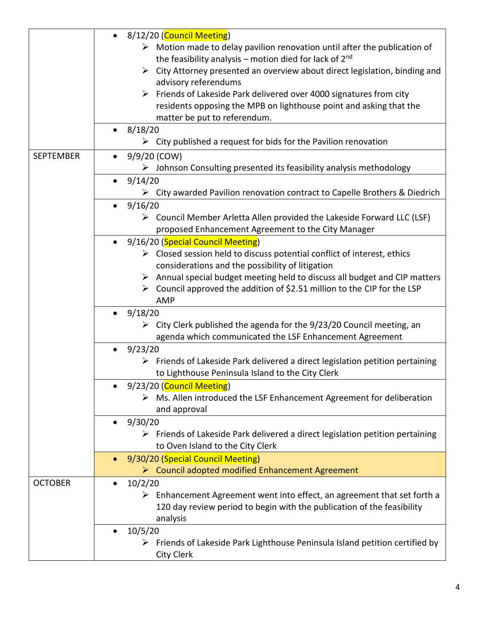|                  | 8/12/20 (Council Meeting)                                                                                                                                                                |
|------------------|------------------------------------------------------------------------------------------------------------------------------------------------------------------------------------------|
|                  | $\triangleright$ Motion made to delay pavilion renovation until after the publication of<br>the feasibility analysis – motion died for lack of $2^{nd}$                                  |
|                  | City Attorney presented an overview about direct legislation, binding and<br>➤                                                                                                           |
|                  | advisory referendums                                                                                                                                                                     |
|                  | Friends of Lakeside Park delivered over 4000 signatures from city                                                                                                                        |
|                  | residents opposing the MPB on lighthouse point and asking that the<br>matter be put to referendum.                                                                                       |
|                  | 8/18/20<br>$\bullet$                                                                                                                                                                     |
|                  | City published a request for bids for the Pavilion renovation<br>➤                                                                                                                       |
| <b>SEPTEMBER</b> | 9/9/20 (COW)                                                                                                                                                                             |
|                  | $\triangleright$ Johnson Consulting presented its feasibility analysis methodology                                                                                                       |
|                  | 9/14/20<br>$\bullet$                                                                                                                                                                     |
|                  | > City awarded Pavilion renovation contract to Capelle Brothers & Diedrich                                                                                                               |
|                  | 9/16/20<br>$\bullet$                                                                                                                                                                     |
|                  | $\triangleright$ Council Member Arletta Allen provided the Lakeside Forward LLC (LSF)<br>proposed Enhancement Agreement to the City Manager                                              |
|                  | 9/16/20 (Special Council Meeting)                                                                                                                                                        |
|                  | $\triangleright$ Closed session held to discuss potential conflict of interest, ethics                                                                                                   |
|                  | considerations and the possibility of litigation                                                                                                                                         |
|                  | $\triangleright$ Annual special budget meeting held to discuss all budget and CIP matters                                                                                                |
|                  | Council approved the addition of \$2.51 million to the CIP for the LSP<br>➤<br><b>AMP</b>                                                                                                |
|                  | 9/18/20                                                                                                                                                                                  |
|                  | $\triangleright$ City Clerk published the agenda for the 9/23/20 Council meeting, an                                                                                                     |
|                  | agenda which communicated the LSF Enhancement Agreement                                                                                                                                  |
|                  | 9/23/20<br>$\bullet$<br>$\triangleright$ Friends of Lakeside Park delivered a direct legislation petition pertaining                                                                     |
|                  | to Lighthouse Peninsula Island to the City Clerk                                                                                                                                         |
|                  | 9/23/20 (Council Meeting)                                                                                                                                                                |
|                  | $\triangleright$ Ms. Allen introduced the LSF Enhancement Agreement for deliberation<br>and approval                                                                                     |
|                  | 9/30/20<br>$\bullet$                                                                                                                                                                     |
|                  | $\triangleright$ Friends of Lakeside Park delivered a direct legislation petition pertaining<br>to Oven Island to the City Clerk                                                         |
|                  | 9/30/20 (Special Council Meeting)                                                                                                                                                        |
|                  | > Council adopted modified Enhancement Agreement                                                                                                                                         |
| <b>OCTOBER</b>   | 10/2/20<br>$\bullet$<br>Enhancement Agreement went into effect, an agreement that set forth a<br>➤<br>120 day review period to begin with the publication of the feasibility<br>analysis |
|                  | 10/5/20<br>$\bullet$                                                                                                                                                                     |
|                  | Friends of Lakeside Park Lighthouse Peninsula Island petition certified by<br>➤<br>City Clerk                                                                                            |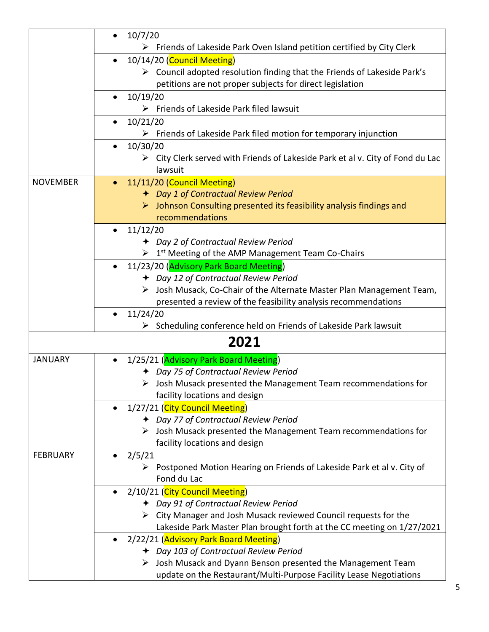|                 | 10/7/20<br>$\bullet$                                                                          |
|-----------------|-----------------------------------------------------------------------------------------------|
|                 | $\triangleright$ Friends of Lakeside Park Oven Island petition certified by City Clerk        |
|                 | 10/14/20 (Council Meeting)<br>$\bullet$                                                       |
|                 | $\triangleright$ Council adopted resolution finding that the Friends of Lakeside Park's       |
|                 | petitions are not proper subjects for direct legislation                                      |
|                 | 10/19/20<br>$\bullet$                                                                         |
|                 | $\triangleright$ Friends of Lakeside Park filed lawsuit                                       |
|                 | 10/21/20                                                                                      |
|                 | Friends of Lakeside Park filed motion for temporary injunction<br>➤                           |
|                 | 10/30/20<br>$\bullet$                                                                         |
|                 | $\triangleright$ City Clerk served with Friends of Lakeside Park et al v. City of Fond du Lac |
|                 | lawsuit                                                                                       |
| <b>NOVEMBER</b> | 11/11/20 (Council Meeting)                                                                    |
|                 | + Day 1 of Contractual Review Period                                                          |
|                 | $\triangleright$ Johnson Consulting presented its feasibility analysis findings and           |
|                 | recommendations                                                                               |
|                 | 11/12/20                                                                                      |
|                 | + Day 2 of Contractual Review Period                                                          |
|                 | $\triangleright$ 1 <sup>st</sup> Meeting of the AMP Management Team Co-Chairs                 |
|                 | 11/23/20 (Advisory Park Board Meeting)                                                        |
|                 | + Day 12 of Contractual Review Period                                                         |
|                 | > Josh Musack, Co-Chair of the Alternate Master Plan Management Team,                         |
|                 | presented a review of the feasibility analysis recommendations                                |
|                 | 11/24/20                                                                                      |
|                 | Scheduling conference held on Friends of Lakeside Park lawsuit<br>➤                           |
|                 | 2021                                                                                          |
| <b>JANUARY</b>  | 1/25/21 (Advisory Park Board Meeting)                                                         |
|                 | + Day 75 of Contractual Review Period                                                         |
|                 | $\triangleright$ Josh Musack presented the Management Team recommendations for                |
|                 | facility locations and design                                                                 |
|                 | 1/27/21 (City Council Meeting)                                                                |
|                 | + Day 77 of Contractual Review Period                                                         |
|                 | Josh Musack presented the Management Team recommendations for<br>➤                            |
|                 | facility locations and design                                                                 |
| <b>FEBRUARY</b> | 2/5/21                                                                                        |
|                 | $\triangleright$ Postponed Motion Hearing on Friends of Lakeside Park et al v. City of        |
|                 | Fond du Lac                                                                                   |
|                 | 2/10/21 (City Council Meeting)                                                                |
|                 | + Day 91 of Contractual Review Period                                                         |
|                 | $\triangleright$ City Manager and Josh Musack reviewed Council requests for the               |
|                 | Lakeside Park Master Plan brought forth at the CC meeting on 1/27/2021                        |
|                 | 2/22/21 (Advisory Park Board Meeting)                                                         |
|                 | + Day 103 of Contractual Review Period                                                        |
|                 | $\triangleright$ Josh Musack and Dyann Benson presented the Management Team                   |
|                 | update on the Restaurant/Multi-Purpose Facility Lease Negotiations                            |